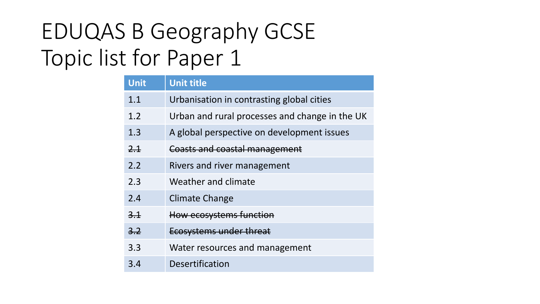## EDUQAS B Geography GCSE Topic list for Paper 1

| <b>Unit</b> | <b>Unit title</b>                              |
|-------------|------------------------------------------------|
| 1.1         | Urbanisation in contrasting global cities      |
| 1.2         | Urban and rural processes and change in the UK |
| 1.3         | A global perspective on development issues     |
| 2.1         | Coasts and coastal management                  |
| 2.2         | Rivers and river management                    |
| 2.3         | Weather and climate                            |
| 2.4         | <b>Climate Change</b>                          |
| 3.1         | How ecosystems function                        |
| 3.2         | Ecosystems under threat                        |
| 3.3         | Water resources and management                 |
| 3.4         | Desertification                                |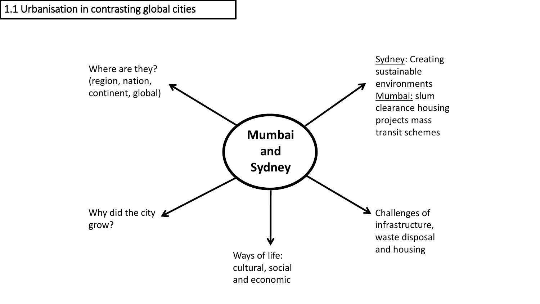1.1 Urbanisation in contrasting global cities

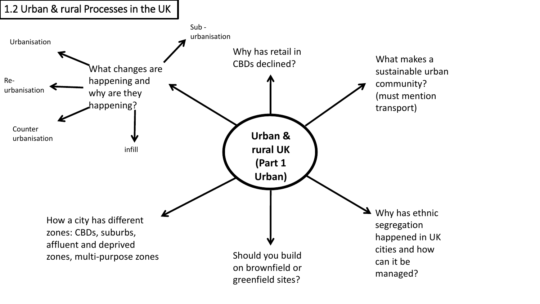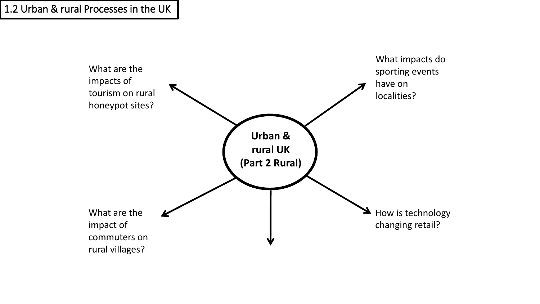1.2 Urban & rural Processes in the UK

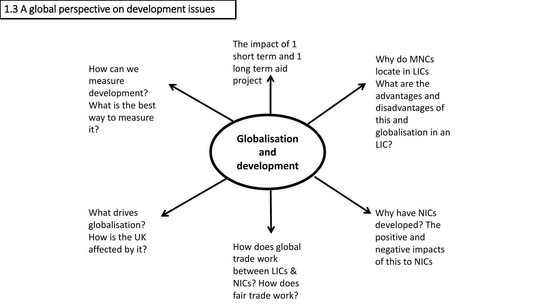1.3 A global perspective on development issues

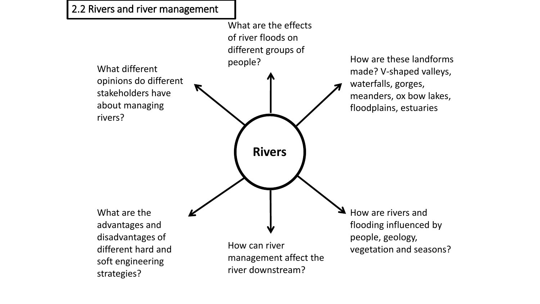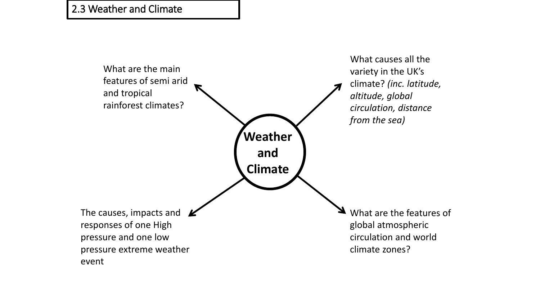2.3 Weather and Climate

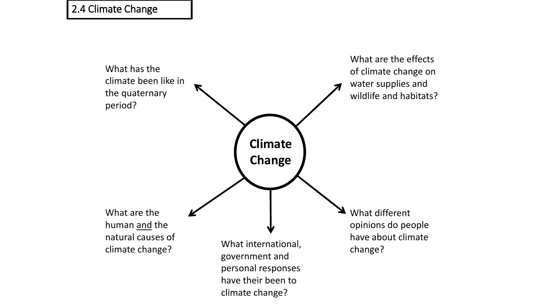## 2.4 Climate Change

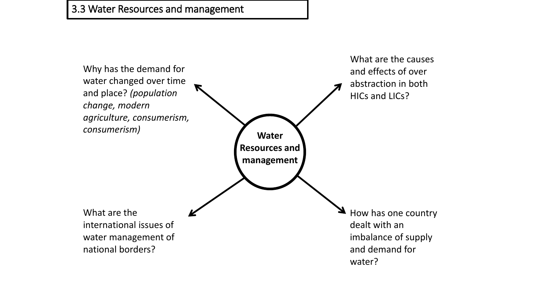## 3.3 Water Resources and management